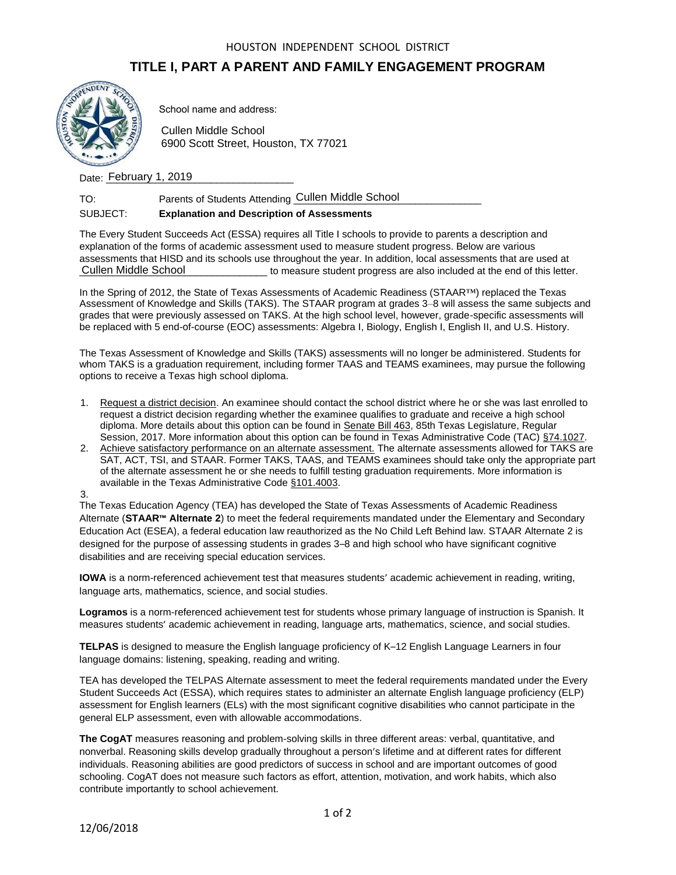#### HOUSTON INDEPENDENT SCHOOL DISTRICT

# **TITLE I, PART A PARENT AND FAMILY ENGAGEMENT PROGRAM**



School name and address:

Cullen Middle School 6900 Scott Street, Houston, TX 77021

Date: February 1, 2019

| TO: | Parents of Students Attending Cullen Middle School |  |
|-----|----------------------------------------------------|--|
|     |                                                    |  |

## SUBJECT: **Explanation and Description of Assessments**

The Every Student Succeeds Act (ESSA) requires all Title I schools to provide to parents a description and explanation of the forms of academic assessment used to measure student progress. Below are various assessments that HISD and its schools use throughout the year. In addition, local assessments that are used at to measure student progress are also included at the end of this letter. Cullen Middle School

In the Spring of 2012, the State of Texas Assessments of Academic Readiness (STAAR™) replaced the Texas Assessment of Knowledge and Skills (TAKS). The STAAR program at grades 3–8 will assess the same subjects and grades that were previously assessed on TAKS. At the high school level, however, grade-specific assessments will be replaced with 5 end-of-course (EOC) assessments: Algebra I, Biology, English I, English II, and U.S. History.

The Texas Assessment of Knowledge and Skills (TAKS) assessments will no longer be administered. Students for whom TAKS is a graduation requirement, including former TAAS and TEAMS examinees, may pursue the following options to receive a Texas high school diploma.

- 1. Request a district decision. An examinee should contact the school district where he or she was last enrolled to request a district decision regarding whether the examinee qualifies to graduate and receive a high school diploma. More details about this option can be found in [Senate Bill 463,](http://www.capitol.state.tx.us/tlodocs/85R/billtext/html/SB00463F.htm) 85th Texas Legislature, Regular Session, 2017. More information about this option can be found in Texas Administrative Code (TAC) [§74.1027.](http://texreg.sos.state.tx.us/public/readtac$ext.TacPage?sl=R&app=9&p_dir=&p_rloc=&p_tloc=&p_ploc=&pg=1&p_tac=&ti=19&pt=2&ch=74&rl=1027)
- 2. Achieve satisfactory performance on an alternate assessment. The alternate assessments allowed for TAKS are SAT, ACT, TSI, and STAAR. Former TAKS, TAAS, and TEAMS examinees should take only the appropriate part of the alternate assessment he or she needs to fulfill testing graduation requirements. More information is available in the Texas Administrative Code [§101.4003.](http://texreg.sos.state.tx.us/public/readtac$ext.TacPage?sl=R&app=9&p_dir=&p_rloc=&p_tloc=&p_ploc=&pg=1&p_tac=&ti=19&pt=2&ch=101&rl=4003)

3.

The Texas Education Agency (TEA) has developed the State of Texas Assessments of Academic Readiness Alternate (**STAAR™ Alternate 2**) to meet the federal requirements mandated under the Elementary and Secondary Education Act (ESEA), a federal education law reauthorized as the No Child Left Behind law. STAAR Alternate 2 is designed for the purpose of assessing students in grades 3–8 and high school who have significant cognitive disabilities and are receiving special education services.

**IOWA** is a norm-referenced achievement test that measures students' academic achievement in reading, writing, language arts, mathematics, science, and social studies.

**Logramos** is a norm-referenced achievement test for students whose primary language of instruction is Spanish. It measures students' academic achievement in reading, language arts, mathematics, science, and social studies.

**TELPAS** is designed to measure the English language proficiency of K–12 English Language Learners in four language domains: listening, speaking, reading and writing.

TEA has developed the TELPAS Alternate assessment to meet the federal requirements mandated under the Every Student Succeeds Act (ESSA), which requires states to administer an alternate English language proficiency (ELP) assessment for English learners (ELs) with the most significant cognitive disabilities who cannot participate in the general ELP assessment, even with allowable accommodations.

**The CogAT** measures reasoning and problem-solving skills in three different areas: verbal, quantitative, and nonverbal. Reasoning skills develop gradually throughout a person's lifetime and at different rates for different individuals. Reasoning abilities are good predictors of success in school and are important outcomes of good schooling. CogAT does not measure such factors as effort, attention, motivation, and work habits, which also contribute importantly to school achievement.